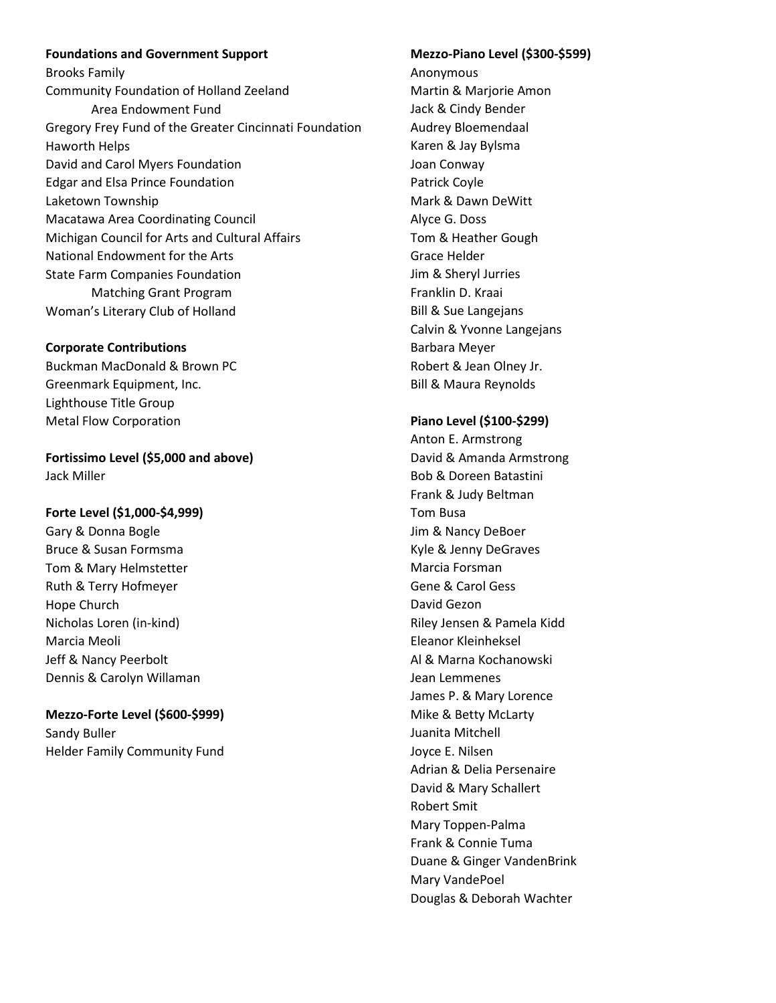**Foundations and Government Support** Brooks Family Community Foundation of Holland Zeeland Area Endowment Fund Gregory Frey Fund of the Greater Cincinnati Foundation Haworth Helps David and Carol Myers Foundation Edgar and Elsa Prince Foundation Laketown Township Macatawa Area Coordinating Council Michigan Council for Arts and Cultural Affairs National Endowment for the Arts State Farm Companies Foundation Matching Grant Program Woman's Literary Club of Holland

#### **Corporate Contributions**

Buckman MacDonald & Brown PC Greenmark Equipment, Inc. Lighthouse Title Group Metal Flow Corporation

**Fortissimo Level (\$5,000 and above)** Jack Miller

### **Forte Level (\$1,000-\$4,999)**

Gary & Donna Bogle Bruce & Susan Formsma Tom & Mary Helmstetter Ruth & Terry Hofmeyer Hope Church Nicholas Loren (in-kind) Marcia Meoli Jeff & Nancy Peerbolt Dennis & Carolyn Willaman

# **Mezzo-Forte Level (\$600-\$999)**

Sandy Buller Helder Family Community Fund

## **Mezzo-Piano Level (\$300-\$599)**

Anonymous Martin & Marjorie Amon Jack & Cindy Bender Audrey Bloemendaal Karen & Jay Bylsma Joan Conway Patrick Coyle Mark & Dawn DeWitt Alyce G. Doss Tom & Heather Gough Grace Helder Jim & Sheryl Jurries Franklin D. Kraai Bill & Sue Langejans Calvin & Yvonne Langejans Barbara Meyer Robert & Jean Olney Jr. Bill & Maura Reynolds

#### **Piano Level (\$100-\$299)**

Anton E. Armstrong David & Amanda Armstrong Bob & Doreen Batastini Frank & Judy Beltman Tom Busa Jim & Nancy DeBoer Kyle & Jenny DeGraves Marcia Forsman Gene & Carol Gess David Gezon Riley Jensen & Pamela Kidd Eleanor Kleinheksel Al & Marna Kochanowski Jean Lemmenes James P. & Mary Lorence Mike & Betty McLarty Juanita Mitchell Joyce E. Nilsen Adrian & Delia Persenaire David & Mary Schallert Robert Smit Mary Toppen-Palma Frank & Connie Tuma Duane & Ginger VandenBrink Mary VandePoel Douglas & Deborah Wachter